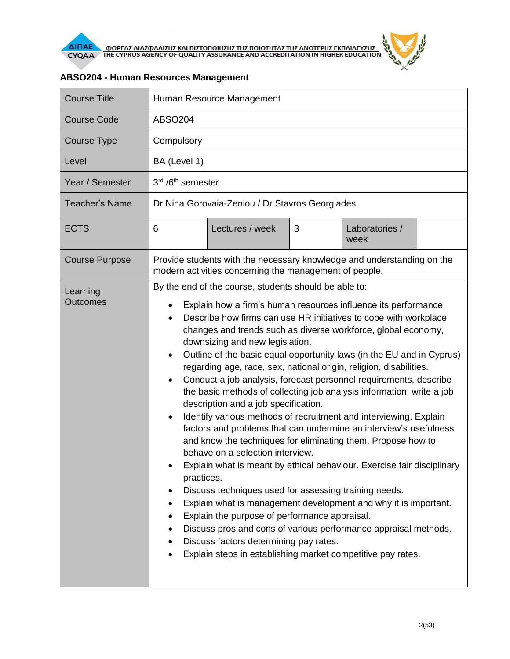

| <b>Course Title</b>   | Human Resource Management                                                                                                                                                                                                                                                                                                                                                                                                                                                                                                                                                                                                                                                                                                                                                                                                                                                                                                                                                                                                                                                                                                                                                                                                                                                                                                                                                                                              |  |  |  |
|-----------------------|------------------------------------------------------------------------------------------------------------------------------------------------------------------------------------------------------------------------------------------------------------------------------------------------------------------------------------------------------------------------------------------------------------------------------------------------------------------------------------------------------------------------------------------------------------------------------------------------------------------------------------------------------------------------------------------------------------------------------------------------------------------------------------------------------------------------------------------------------------------------------------------------------------------------------------------------------------------------------------------------------------------------------------------------------------------------------------------------------------------------------------------------------------------------------------------------------------------------------------------------------------------------------------------------------------------------------------------------------------------------------------------------------------------------|--|--|--|
| <b>Course Code</b>    | ABSO204                                                                                                                                                                                                                                                                                                                                                                                                                                                                                                                                                                                                                                                                                                                                                                                                                                                                                                                                                                                                                                                                                                                                                                                                                                                                                                                                                                                                                |  |  |  |
| Course Type           | Compulsory                                                                                                                                                                                                                                                                                                                                                                                                                                                                                                                                                                                                                                                                                                                                                                                                                                                                                                                                                                                                                                                                                                                                                                                                                                                                                                                                                                                                             |  |  |  |
| Level                 | BA (Level 1)                                                                                                                                                                                                                                                                                                                                                                                                                                                                                                                                                                                                                                                                                                                                                                                                                                                                                                                                                                                                                                                                                                                                                                                                                                                                                                                                                                                                           |  |  |  |
| Year / Semester       | 3rd /6 <sup>th</sup> semester                                                                                                                                                                                                                                                                                                                                                                                                                                                                                                                                                                                                                                                                                                                                                                                                                                                                                                                                                                                                                                                                                                                                                                                                                                                                                                                                                                                          |  |  |  |
| Teacher's Name        | Dr Nina Gorovaia-Zeniou / Dr Stavros Georgiades                                                                                                                                                                                                                                                                                                                                                                                                                                                                                                                                                                                                                                                                                                                                                                                                                                                                                                                                                                                                                                                                                                                                                                                                                                                                                                                                                                        |  |  |  |
| <b>ECTS</b>           | Lectures / week<br>3<br>Laboratories /<br>6<br>week                                                                                                                                                                                                                                                                                                                                                                                                                                                                                                                                                                                                                                                                                                                                                                                                                                                                                                                                                                                                                                                                                                                                                                                                                                                                                                                                                                    |  |  |  |
| <b>Course Purpose</b> | Provide students with the necessary knowledge and understanding on the<br>modern activities concerning the management of people.                                                                                                                                                                                                                                                                                                                                                                                                                                                                                                                                                                                                                                                                                                                                                                                                                                                                                                                                                                                                                                                                                                                                                                                                                                                                                       |  |  |  |
| Learning<br>Outcomes  | By the end of the course, students should be able to:<br>Explain how a firm's human resources influence its performance<br>Describe how firms can use HR initiatives to cope with workplace<br>changes and trends such as diverse workforce, global economy,<br>downsizing and new legislation.<br>Outline of the basic equal opportunity laws (in the EU and in Cyprus)<br>$\bullet$<br>regarding age, race, sex, national origin, religion, disabilities.<br>Conduct a job analysis, forecast personnel requirements, describe<br>$\bullet$<br>the basic methods of collecting job analysis information, write a job<br>description and a job specification.<br>Identify various methods of recruitment and interviewing. Explain<br>$\bullet$<br>factors and problems that can undermine an interview's usefulness<br>and know the techniques for eliminating them. Propose how to<br>behave on a selection interview.<br>Explain what is meant by ethical behaviour. Exercise fair disciplinary<br>practices.<br>Discuss techniques used for assessing training needs.<br>$\bullet$<br>Explain what is management development and why it is important.<br>$\bullet$<br>Explain the purpose of performance appraisal.<br>٠<br>Discuss pros and cons of various performance appraisal methods.<br>Discuss factors determining pay rates.<br>Explain steps in establishing market competitive pay rates.<br>$\bullet$ |  |  |  |

## **ABSO204 - Human Resources Management**

 $\tilde{r}$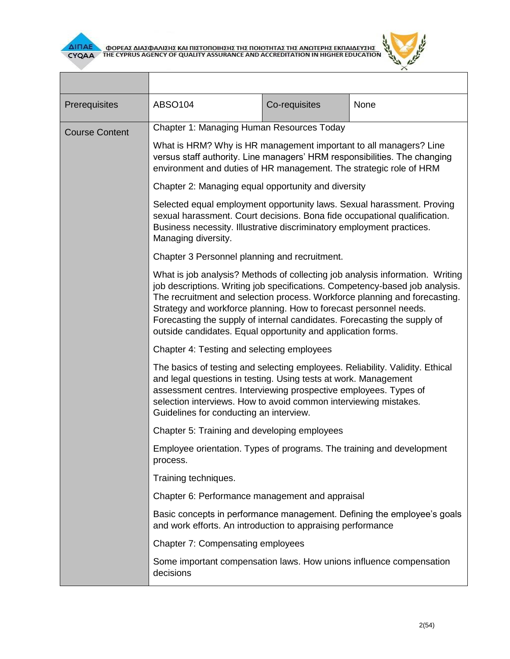



| Prerequisites         | <b>ABSO104</b>                                                                                                                                                                                                                                                                                                                                                                                                                                               | Co-requisites | None |  |
|-----------------------|--------------------------------------------------------------------------------------------------------------------------------------------------------------------------------------------------------------------------------------------------------------------------------------------------------------------------------------------------------------------------------------------------------------------------------------------------------------|---------------|------|--|
| <b>Course Content</b> | Chapter 1: Managing Human Resources Today                                                                                                                                                                                                                                                                                                                                                                                                                    |               |      |  |
|                       | What is HRM? Why is HR management important to all managers? Line<br>versus staff authority. Line managers' HRM responsibilities. The changing<br>environment and duties of HR management. The strategic role of HRM                                                                                                                                                                                                                                         |               |      |  |
|                       | Chapter 2: Managing equal opportunity and diversity                                                                                                                                                                                                                                                                                                                                                                                                          |               |      |  |
|                       | Selected equal employment opportunity laws. Sexual harassment. Proving<br>sexual harassment. Court decisions. Bona fide occupational qualification.<br>Business necessity. Illustrative discriminatory employment practices.<br>Managing diversity.                                                                                                                                                                                                          |               |      |  |
|                       | Chapter 3 Personnel planning and recruitment.                                                                                                                                                                                                                                                                                                                                                                                                                |               |      |  |
|                       | What is job analysis? Methods of collecting job analysis information. Writing<br>job descriptions. Writing job specifications. Competency-based job analysis.<br>The recruitment and selection process. Workforce planning and forecasting.<br>Strategy and workforce planning. How to forecast personnel needs.<br>Forecasting the supply of internal candidates. Forecasting the supply of<br>outside candidates. Equal opportunity and application forms. |               |      |  |
|                       | Chapter 4: Testing and selecting employees                                                                                                                                                                                                                                                                                                                                                                                                                   |               |      |  |
|                       | The basics of testing and selecting employees. Reliability. Validity. Ethical<br>and legal questions in testing. Using tests at work. Management<br>assessment centres. Interviewing prospective employees. Types of<br>selection interviews. How to avoid common interviewing mistakes.<br>Guidelines for conducting an interview.                                                                                                                          |               |      |  |
|                       | Chapter 5: Training and developing employees                                                                                                                                                                                                                                                                                                                                                                                                                 |               |      |  |
|                       | Employee orientation. Types of programs. The training and development<br>process.                                                                                                                                                                                                                                                                                                                                                                            |               |      |  |
|                       | Training techniques.                                                                                                                                                                                                                                                                                                                                                                                                                                         |               |      |  |
|                       | Chapter 6: Performance management and appraisal                                                                                                                                                                                                                                                                                                                                                                                                              |               |      |  |
|                       | Basic concepts in performance management. Defining the employee's goals<br>and work efforts. An introduction to appraising performance                                                                                                                                                                                                                                                                                                                       |               |      |  |
|                       | <b>Chapter 7: Compensating employees</b>                                                                                                                                                                                                                                                                                                                                                                                                                     |               |      |  |
|                       | Some important compensation laws. How unions influence compensation<br>decisions                                                                                                                                                                                                                                                                                                                                                                             |               |      |  |